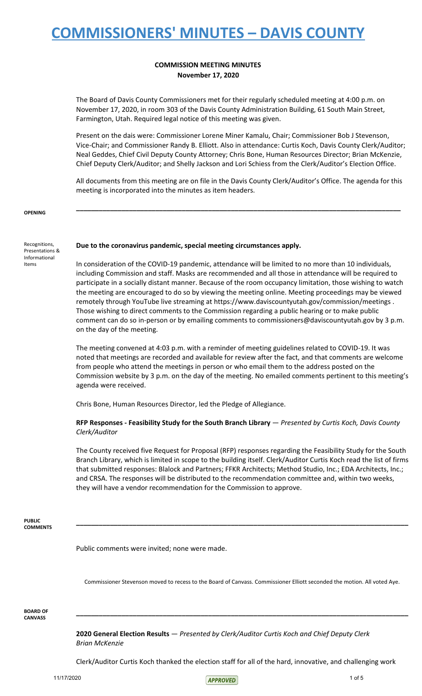### **COMMISSION MEETING MINUTES November 17, 2020**

The Board of Davis County Commissioners met for their regularly scheduled meeting at 4:00 p.m. on November 17, 2020, in room 303 of the Davis County Administration Building, 61 South Main Street, Farmington, Utah. Required legal notice of this meeting was given.

Present on the dais were: Commissioner Lorene Miner Kamalu, Chair; Commissioner Bob J Stevenson, Vice-Chair; and Commissioner Randy B. Elliott. Also in attendance: Curtis Koch, Davis County Clerk/Auditor; Neal Geddes, Chief Civil Deputy County Attorney; Chris Bone, Human Resources Director; Brian McKenzie, Chief Deputy Clerk/Auditor; and Shelly Jackson and Lori Schiess from the Clerk/Auditor's Election Office.

All documents from this meeting are on file in the Davis County Clerk/Auditor's Office. The agenda for this meeting is incorporated into the minutes as item headers.

**\_\_\_\_\_\_\_\_\_\_\_\_\_\_\_\_\_\_\_\_\_\_\_\_\_\_\_\_\_\_\_\_\_\_\_\_\_\_\_\_\_\_\_\_\_\_\_\_\_\_\_\_\_\_\_\_\_\_\_\_\_\_\_\_\_\_\_\_\_\_\_\_\_\_\_\_\_\_\_\_\_\_\_\_\_\_**

**OPENING**

Recognitions, Presentations & Informational Items

### **Due to the coronavirus pandemic, special meeting circumstances apply.**

In consideration of the COVID-19 pandemic, attendance will be limited to no more than 10 individuals, including Commission and staff. Masks are recommended and all those in attendance will be required to participate in a socially distant manner. Because of the room occupancy limitation, those wishing to watch the meeting are encouraged to do so by viewing the meeting online. Meeting proceedings may be viewed remotely through YouTube live streaming at https://www.daviscountyutah.gov/commission/meetings . Those wishing to direct comments to the Commission regarding a public hearing or to make public comment can do so in-person or by emailing comments to commissioners@daviscountyutah.gov by 3 p.m. on the day of the meeting.

The meeting convened at 4:03 p.m. with a reminder of meeting guidelines related to COVID-19. It was noted that meetings are recorded and available for review after the fact, and that comments are welcome from people who attend the meetings in person or who email them to the address posted on the Commission website by 3 p.m. on the day of the meeting. No emailed comments pertinent to this meeting's agenda were received.

Chris Bone, Human Resources Director, led the Pledge of Allegiance.

**RFP Responses - Feasibility Study for the South Branch Library** — *Presented by Curtis Koch, Davis County Clerk/Auditor*

The County received five Request for Proposal (RFP) responses regarding the Feasibility Study for the South Branch Library, which is limited in scope to the building itself. Clerk/Auditor Curtis Koch read the list of firms that submitted responses: Blalock and Partners; FFKR Architects; Method Studio, Inc.; EDA Architects, Inc.; and CRSA. The responses will be distributed to the recommendation committee and, within two weeks, they will have a vendor recommendation for the Commission to approve.

**\_\_\_\_\_\_\_\_\_\_\_\_\_\_\_\_\_\_\_\_\_\_\_\_\_\_\_\_\_\_\_\_\_\_\_\_\_\_\_\_\_\_\_\_\_\_\_\_\_\_\_\_\_\_\_\_\_\_\_\_\_\_\_\_\_\_\_\_\_\_\_\_\_\_\_\_\_\_\_\_\_\_\_\_\_\_\_\_**

**PUBLIC COMMENTS**

Public comments were invited; none were made.

Commissioner Stevenson moved to recess to the Board of Canvass. Commissioner Elliott seconded the motion. All voted Aye.

**\_\_\_\_\_\_\_\_\_\_\_\_\_\_\_\_\_\_\_\_\_\_\_\_\_\_\_\_\_\_\_\_\_\_\_\_\_\_\_\_\_\_\_\_\_\_\_\_\_\_\_\_\_\_\_\_\_\_\_\_\_\_\_\_\_\_\_\_\_\_\_\_\_\_\_\_\_\_\_\_\_\_\_\_\_\_\_\_**

**BOARD OF CANVASS**

> **2020 General Election Results** — *Presented by Clerk/Auditor Curtis Koch and Chief Deputy Clerk Brian McKenzie*

Clerk/Auditor Curtis Koch thanked the election staff for all of the hard, innovative, and challenging work

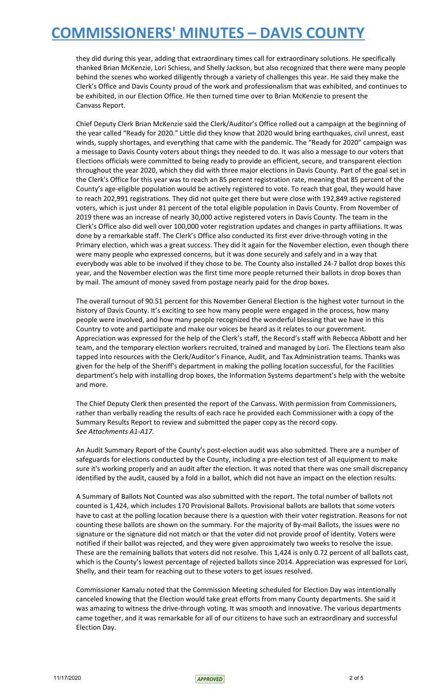they did during this year, adding that extraordinary times call for extraordinary solutions. He specifically thanked Brian McKenzie, Lori Schiess, and Shelly Jackson, but also recognized that there were many people behind the scenes who worked diligently through a variety of challenges this year. He said they make the Clerk's Office and Davis County proud of the work and professionalism that was exhibited, and continues to be exhibited, in our Election Office. He then turned time over to Brian McKenzie to present the Canvass Report.

Chief Deputy Clerk Brian McKenzie said the Clerk/Auditor's Office rolled out a campaign at the beginning of the year called "Ready for 2020." Little did they know that 2020 would bring earthquakes, civil unrest, east winds, supply shortages, and everything that came with the pandemic. The "Ready for 2020" campaign was a message to Davis County voters about things they needed to do. It was also a message to our voters that Elections officials were committed to being ready to provide an efficient, secure, and transparent election throughout the year 2020, which they did with three major elections in Davis County. Part of the goal set in the Clerk's Office for this year was to reach an 85 percent registration rate, meaning that 85 percent of the County's age-eligible population would be actively registered to vote. To reach that goal, they would have to reach 202,991 registrations. They did not quite get there but were close with 192,849 active registered voters, which is just under 81 percent of the total eligible population in Davis County. From November of 2019 there was an increase of nearly 30,000 active registered voters in Davis County. The team in the Clerk's Office also did well over 100,000 voter registration updates and changes in party affiliations. It was done by a remarkable staff. The Clerk's Office also conducted its first ever drive-through voting in the Primary election, which was a great success. They did it again for the November election, even though there were many people who expressed concerns, but it was done securely and safely and in a way that everybody was able to be involved if they chose to be. The County also installed 24-7 ballot drop boxes this year, and the November election was the first time more people returned their ballots in drop boxes than by mail. The amount of money saved from postage nearly paid for the drop boxes.

The overall turnout of 90.51 percent for this November General Election is the highest voter turnout in the history of Davis County. It's exciting to see how many people were engaged in the process, how many people were involved, and how many people recognized the wonderful blessing that we have in this Country to vote and participate and make our voices be heard as it relates to our government. Appreciation was expressed for the help of the Clerk's staff, the Record's staff with Rebecca Abbott and her team, and the temporary election workers recruited, trained and managed by Lori. The Elections team also tapped into resources with the Clerk/Auditor's Finance, Audit, and Tax Administration teams. Thanks was given for the help of the Sheriff's department in making the polling location successful, for the Facilities department's help with installing drop boxes, the Information Systems department's help with the website and more.

The Chief Deputy Clerk then presented the report of the Canvass. With permission from Commissioners, rather than verbally reading the results of each race he provided each Commissioner with a copy of the Summary Results Report to review and submitted the paper copy as the record copy. *See Attachments A1-A17.*

An Audit Summary Report of the County's post-election audit was also submitted. There are a number of safeguards for elections conducted by the County, including a pre-election test of all equipment to make sure it's working properly and an audit after the election. It was noted that there was one small discrepancy identified by the audit, caused by a fold in a ballot, which did not have an impact on the election results.

A Summary of Ballots Not Counted was also submitted with the report. The total number of ballots not counted is 1,424, which includes 170 Provisional Ballots. Provisional ballots are ballots that some voters have to cast at the polling location because there is a question with their voter registration. Reasons for not counting these ballots are shown on the summary. For the majority of By-mail Ballots, the issues were no signature or the signature did not match or that the voter did not provide proof of identity. Voters were notified if their ballot was rejected, and they were given approximately two weeks to resolve the issue. These are the remaining ballots that voters did not resolve. This 1,424 is only 0.72 percent of all ballots cast, which is the County's lowest percentage of rejected ballots since 2014. Appreciation was expressed for Lori, Shelly, and their team for reaching out to these voters to get issues resolved.

Commissioner Kamalu noted that the Commission Meeting scheduled for Election Day was intentionally canceled knowing that the Election would take great efforts from many County departments. She said it was amazing to witness the drive-through voting. It was smooth and innovative. The various departments came together, and it was remarkable for all of our citizens to have such an extraordinary and successful Election Day.

11/17/2020 2 of 5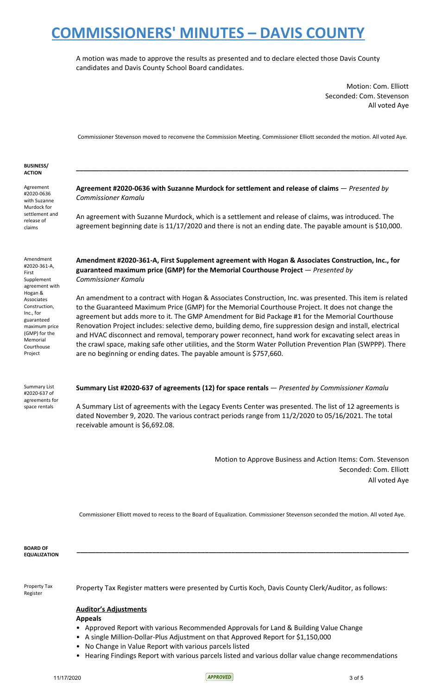A motion was made to approve the results as presented and to declare elected those Davis County candidates and Davis County School Board candidates.

> Motion: Com. Elliott Seconded: Com. Stevenson All voted Aye

Commissioner Stevenson moved to reconvene the Commission Meeting. Commissioner Elliott seconded the motion. All voted Aye.

**\_\_\_\_\_\_\_\_\_\_\_\_\_\_\_\_\_\_\_\_\_\_\_\_\_\_\_\_\_\_\_\_\_\_\_\_\_\_\_\_\_\_\_\_\_\_\_\_\_\_\_\_\_\_\_\_\_\_\_\_\_\_\_\_\_\_\_\_\_\_\_\_\_\_\_\_\_\_\_\_\_\_\_\_\_\_\_\_**

#### **BUSINESS/ ACTION**

Agreement #2020-0636 with Suzanne Murdock for settlement and release of claims

**Agreement #2020-0636 with Suzanne Murdock for settlement and release of claims** — *Presented by Commissioner Kamalu*

An agreement with Suzanne Murdock, which is a settlement and release of claims, was introduced. The agreement beginning date is 11/17/2020 and there is not an ending date. The payable amount is \$10,000.

Amendment #2020-361-A, First Supplement agreement with Hogan & Associates Construction, Inc., for guaranteed maximum price (GMP) for the Memorial Courthouse Project

space rentals

**Amendment #2020-361-A, First Supplement agreement with Hogan & Associates Construction, Inc., for guaranteed maximum price (GMP) for the Memorial Courthouse Project** — *Presented by Commissioner Kamalu*

An amendment to a contract with Hogan & Associates Construction, Inc. was presented. This item is related to the Guaranteed Maximum Price (GMP) for the Memorial Courthouse Project. It does not change the agreement but adds more to it. The GMP Amendment for Bid Package #1 for the Memorial Courthouse Renovation Project includes: selective demo, building demo, fire suppression design and install, electrical and HVAC disconnect and removal, temporary power reconnect, hand work for excavating select areas in the crawl space, making safe other utilities, and the Storm Water Pollution Prevention Plan (SWPPP). There are no beginning or ending dates. The payable amount is \$757,660.

Summary List #2020-637 of agreements for **Summary List #2020-637 of agreements (12) for space rentals** — *Presented by Commissioner Kamalu*

> A Summary List of agreements with the Legacy Events Center was presented. The list of 12 agreements is dated November 9, 2020. The various contract periods range from 11/2/2020 to 05/16/2021. The total receivable amount is \$6,692.08.

> > Motion to Approve Business and Action Items: Com. Stevenson Seconded: Com. Elliott All voted Aye

Commissioner Elliott moved to recess to the Board of Equalization. Commissioner Stevenson seconded the motion. All voted Aye.

**\_\_\_\_\_\_\_\_\_\_\_\_\_\_\_\_\_\_\_\_\_\_\_\_\_\_\_\_\_\_\_\_\_\_\_\_\_\_\_\_\_\_\_\_\_\_\_\_\_\_\_\_\_\_\_\_\_\_\_\_\_\_\_\_\_\_\_\_\_\_\_\_\_\_\_\_\_\_\_\_\_\_\_\_\_\_\_\_**

**BOARD OF EQUALIZATION**

Property Tax Register

Property Tax Register matters were presented by Curtis Koch, Davis County Clerk/Auditor, as follows:

### **Auditor's Adjustments**

**Appeals**

- Approved Report with various Recommended Approvals for Land & Building Value Change
- A single Million-Dollar-Plus Adjustment on that Approved Report for \$1,150,000
- No Change in Value Report with various parcels listed
- Hearing Findings Report with various parcels listed and various dollar value change recommendations

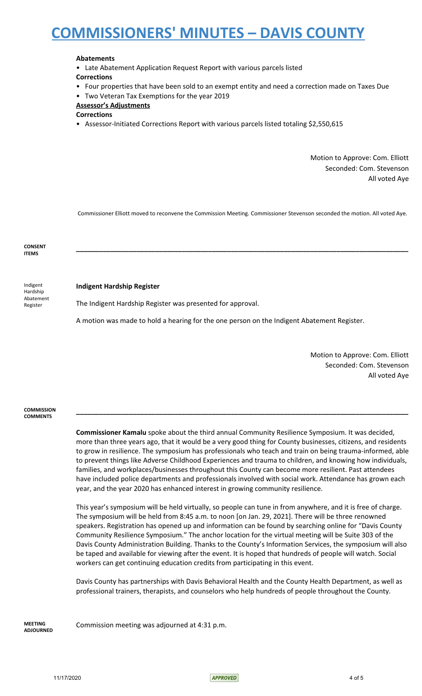### **Abatements**

• Late Abatement Application Request Report with various parcels listed

**Corrections**

• Four properties that have been sold to an exempt entity and need a correction made on Taxes Due

• Two Veteran Tax Exemptions for the year 2019

### **Assessor's Adjustments**

**Corrections**

• Assessor-Initiated Corrections Report with various parcels listed totaling \$2,550,615

Motion to Approve: Com. Elliott Seconded: Com. Stevenson All voted Aye

Commissioner Elliott moved to reconvene the Commission Meeting. Commissioner Stevenson seconded the motion. All voted Aye.

**\_\_\_\_\_\_\_\_\_\_\_\_\_\_\_\_\_\_\_\_\_\_\_\_\_\_\_\_\_\_\_\_\_\_\_\_\_\_\_\_\_\_\_\_\_\_\_\_\_\_\_\_\_\_\_\_\_\_\_\_\_\_\_\_\_\_\_\_\_\_\_\_\_\_\_\_\_\_\_\_\_\_\_\_\_\_\_\_**

**CONSENT ITEMS**

Indigent Hardship Abatement Register

**Indigent Hardship Register**

The Indigent Hardship Register was presented for approval.

A motion was made to hold a hearing for the one person on the Indigent Abatement Register.

Motion to Approve: Com. Elliott Seconded: Com. Stevenson All voted Aye

#### **COMMISSION COMMENTS**

**Commissioner Kamalu** spoke about the third annual Community Resilience Symposium. It was decided, more than three years ago, that it would be a very good thing for County businesses, citizens, and residents to grow in resilience. The symposium has professionals who teach and train on being trauma-informed, able to prevent things like Adverse Childhood Experiences and trauma to children, and knowing how individuals, families, and workplaces/businesses throughout this County can become more resilient. Past attendees have included police departments and professionals involved with social work. Attendance has grown each year, and the year 2020 has enhanced interest in growing community resilience.

**\_\_\_\_\_\_\_\_\_\_\_\_\_\_\_\_\_\_\_\_\_\_\_\_\_\_\_\_\_\_\_\_\_\_\_\_\_\_\_\_\_\_\_\_\_\_\_\_\_\_\_\_\_\_\_\_\_\_\_\_\_\_\_\_\_\_\_\_\_\_\_\_\_\_\_\_\_\_\_\_\_\_\_\_\_\_\_\_**

This year's symposium will be held virtually, so people can tune in from anywhere, and it is free of charge. The symposium will be held from 8:45 a.m. to noon [on Jan. 29, 2021]. There will be three renowned speakers. Registration has opened up and information can be found by searching online for "Davis County Community Resilience Symposium." The anchor location for the virtual meeting will be Suite 303 of the Davis County Administration Building. Thanks to the County's Information Services, the symposium will also be taped and available for viewing after the event. It is hoped that hundreds of people will watch. Social workers can get continuing education credits from participating in this event.

Davis County has partnerships with Davis Behavioral Health and the County Health Department, as well as professional trainers, therapists, and counselors who help hundreds of people throughout the County.

**MEETING ADJOURNED**

Commission meeting was adjourned at 4:31 p.m.

11/17/2020 4 of 5